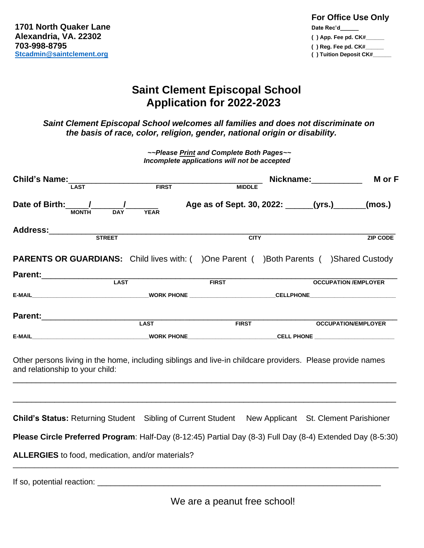| <b>For Office Use Only</b> |
|----------------------------|
| Date Rec'd                 |
| $( )$ App. Fee pd. $CK#$   |
| $( )$ Req. Fee pd. $CK#$   |
| () Tuition Deposit CK#     |
|                            |

## **Saint Clement Episcopal School Application for 2022-2023**

 *Saint Clement Episcopal School welcomes all families and does not discriminate on the basis of race, color, religion, gender, national origin or disability.*

> *~~Please Print and Complete Both Pages~~ Incomplete applications will not be accepted*

| Child's Name:<br><b>LAST</b>                                                                                                                  | <b>FIRST</b>              | <b>MIDDLE</b>                                       | Nickname: Nickname: | M or F                      |
|-----------------------------------------------------------------------------------------------------------------------------------------------|---------------------------|-----------------------------------------------------|---------------------|-----------------------------|
| Date of Birth: /<br><b>MONTH</b>                                                                                                              | <b>YEAR</b><br><b>DAY</b> | Age as of Sept. 30, 2022: ______(yrs.) ______(mos.) |                     |                             |
| Address: 2008                                                                                                                                 |                           | <b>CITY</b>                                         |                     | <b>ZIP CODE</b>             |
| <b>PARENTS OR GUARDIANS:</b> Child lives with: ( )One Parent ( )Both Parents ( )Shared Custody                                                |                           |                                                     |                     |                             |
| Parent: LAST                                                                                                                                  |                           |                                                     |                     |                             |
|                                                                                                                                               |                           | <b>EIRST</b>                                        |                     | <b>OCCUPATION /EMPLOYER</b> |
|                                                                                                                                               | <b>LAST</b>               |                                                     |                     |                             |
|                                                                                                                                               |                           | <b>FIRST</b>                                        |                     | <b>OCCUPATION/EMPLOYER</b>  |
| Other persons living in the home, including siblings and live-in childcare providers. Please provide names<br>and relationship to your child: |                           |                                                     |                     |                             |
| <b>Child's Status: Returning Student</b> Sibling of Current Student New Applicant St. Clement Parishioner                                     |                           |                                                     |                     |                             |
| Please Circle Preferred Program: Half-Day (8-12:45) Partial Day (8-3) Full Day (8-4) Extended Day (8-5:30)                                    |                           |                                                     |                     |                             |
| ALLERGIES to food, medication, and/or materials?                                                                                              |                           |                                                     |                     |                             |
|                                                                                                                                               |                           |                                                     |                     |                             |

We are a peanut free school!